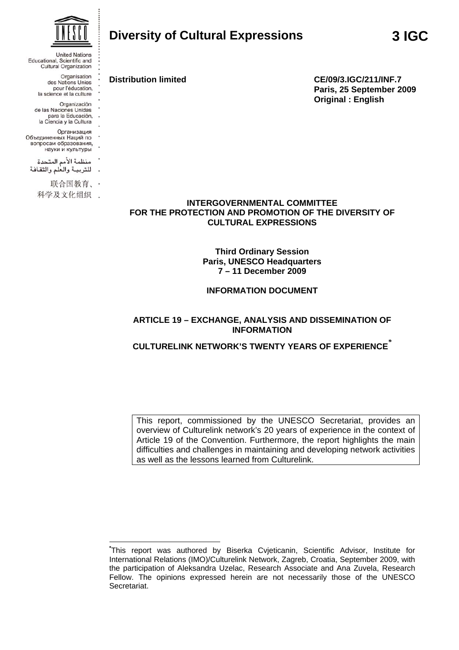

**Distribution limited CE/09/3.IGC/211/INF.7 Paris, 25 September 2009 Original : English** 

### **INTERGOVERNMENTAL COMMITTEE FOR THE PROTECTION AND PROMOTION OF THE DIVERSITY OF CULTURAL EXPRESSIONS**

### **Third Ordinary Session Paris, UNESCO Headquarters 7 – 11 December 2009**

# **INFORMATION DOCUMENT**

### **ARTICLE 19 – EXCHANGE, ANALYSIS AND DISSEMINATION OF INFORMATION**

# **CULTURELINK NETWORK'S TWENTY YEARS OF EXPERIENCE***\**

This report, commissioned by the UNESCO Secretariat, provides an overview of Culturelink network's 20 years of experience in the context of Article 19 of the Convention. Furthermore, the report highlights the main difficulties and challenges in maintaining and developing network activities as well as the lessons learned from Culturelink.



**United Nations** Educational, Scientific and **Cultural Organization** Organisation des Nations Unies pour l'éducation,<br>la science et la culture Organización de las Naciones Unidas para la Educación,<br>la Ciencia y la Cultura Организация Объединенных Наций по вопросам образования, науки и культуры منظمة الأمم المتحدة للتربية والعلم والثقافة

联合国教育、·

<u>.</u>

科学及文化组织 .

**<sup>\*</sup>** This report was authored by Biserka Cvjeticanin, Scientific Advisor, Institute for International Relations (IMO)/Culturelink Network, Zagreb, Croatia, September 2009, with the participation of Aleksandra Uzelac, Research Associate and Ana Zuvela, Research Fellow. The opinions expressed herein are not necessarily those of the UNESCO Secretariat.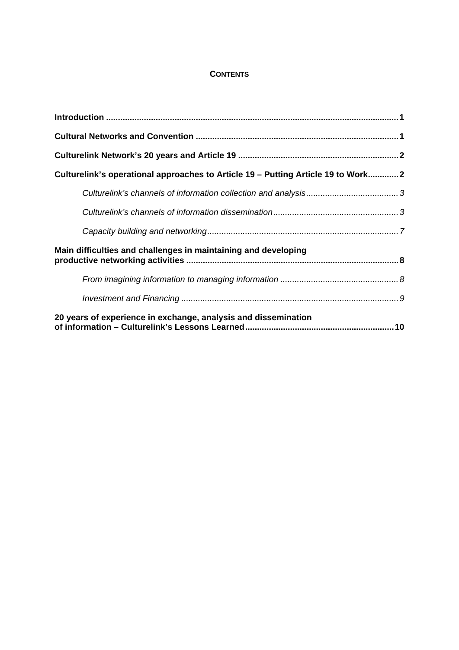# **CONTENTS**

| Culturelink's operational approaches to Article 19 - Putting Article 19 to Work2 |  |
|----------------------------------------------------------------------------------|--|
|                                                                                  |  |
|                                                                                  |  |
|                                                                                  |  |
| Main difficulties and challenges in maintaining and developing                   |  |
|                                                                                  |  |
|                                                                                  |  |
| 20 years of experience in exchange, analysis and dissemination                   |  |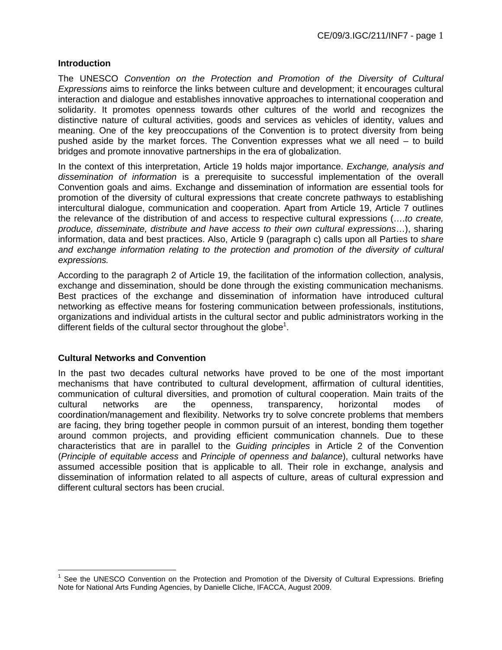#### **Introduction**

The UNESCO *Convention on the Protection and Promotion of the Diversity of Cultural Expressions* aims to reinforce the links between culture and development; it encourages cultural interaction and dialogue and establishes innovative approaches to international cooperation and solidarity. It promotes openness towards other cultures of the world and recognizes the distinctive nature of cultural activities, goods and services as vehicles of identity, values and meaning. One of the key preoccupations of the Convention is to protect diversity from being pushed aside by the market forces. The Convention expresses what we all need – to build bridges and promote innovative partnerships in the era of globalization.

In the context of this interpretation, Article 19 holds major importance. *Exchange, analysis and dissemination of information* is a prerequisite to successful implementation of the overall Convention goals and aims. Exchange and dissemination of information are essential tools for promotion of the diversity of cultural expressions that create concrete pathways to establishing intercultural dialogue, communication and cooperation. Apart from Article 19, Article 7 outlines the relevance of the distribution of and access to respective cultural expressions (….*to create, produce, disseminate, distribute and have access to their own cultural expressions*…), sharing information, data and best practices. Also, Article 9 (paragraph c) calls upon all Parties to *share and exchange information relating to the protection and promotion of the diversity of cultural expressions.* 

According to the paragraph 2 of Article 19, the facilitation of the information collection, analysis, exchange and dissemination, should be done through the existing communication mechanisms. Best practices of the exchange and dissemination of information have introduced cultural networking as effective means for fostering communication between professionals, institutions, organizations and individual artists in the cultural sector and public administrators working in the different fields of the cultural sector throughout the globe<sup>1</sup>.

#### **Cultural Networks and Convention**

In the past two decades cultural networks have proved to be one of the most important mechanisms that have contributed to cultural development, affirmation of cultural identities, communication of cultural diversities, and promotion of cultural cooperation. Main traits of the cultural networks are the openness, transparency, horizontal modes of coordination/management and flexibility. Networks try to solve concrete problems that members are facing, they bring together people in common pursuit of an interest, bonding them together around common projects, and providing efficient communication channels. Due to these characteristics that are in parallel to the *Guiding principles* in Article 2 of the Convention (*Principle of equitable access* and *Principle of openness and balance*), cultural networks have assumed accessible position that is applicable to all. Their role in exchange, analysis and dissemination of information related to all aspects of culture, areas of cultural expression and different cultural sectors has been crucial.

 $\overline{a}$ <sup>1</sup> See the UNESCO Convention on the Protection and Promotion of the Diversity of Cultural Expressions. Briefing Note for National Arts Funding Agencies, by Danielle Cliche, IFACCA, August 2009.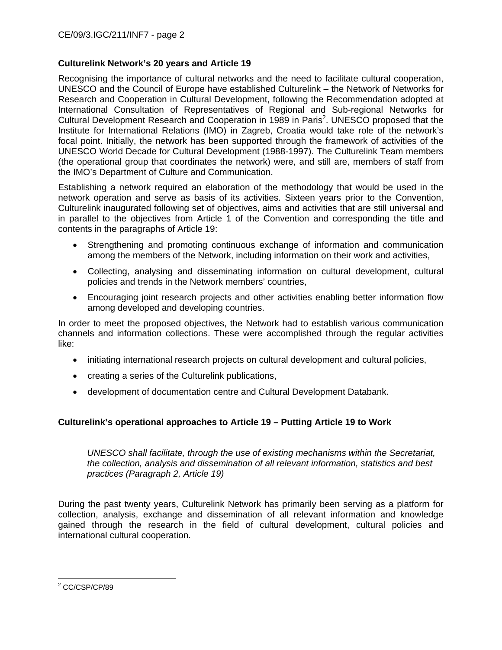# **Culturelink Network's 20 years and Article 19**

Recognising the importance of cultural networks and the need to facilitate cultural cooperation, UNESCO and the Council of Europe have established Culturelink – the Network of Networks for Research and Cooperation in Cultural Development, following the Recommendation adopted at International Consultation of Representatives of Regional and Sub-regional Networks for Cultural Development Research and Cooperation in 1989 in Paris<sup>2</sup>. UNESCO proposed that the Institute for International Relations (IMO) in Zagreb, Croatia would take role of the network's focal point. Initially, the network has been supported through the framework of activities of the UNESCO World Decade for Cultural Development (1988-1997). The Culturelink Team members (the operational group that coordinates the network) were, and still are, members of staff from the IMO's Department of Culture and Communication.

Establishing a network required an elaboration of the methodology that would be used in the network operation and serve as basis of its activities. Sixteen years prior to the Convention, Culturelink inaugurated following set of objectives, aims and activities that are still universal and in parallel to the objectives from Article 1 of the Convention and corresponding the title and contents in the paragraphs of Article 19:

- Strengthening and promoting continuous exchange of information and communication among the members of the Network, including information on their work and activities,
- Collecting, analysing and disseminating information on cultural development, cultural policies and trends in the Network members' countries,
- Encouraging joint research projects and other activities enabling better information flow among developed and developing countries.

In order to meet the proposed objectives, the Network had to establish various communication channels and information collections. These were accomplished through the regular activities like:

- initiating international research projects on cultural development and cultural policies,
- creating a series of the Culturelink publications,
- development of documentation centre and Cultural Development Databank.

# **Culturelink's operational approaches to Article 19 – Putting Article 19 to Work**

*UNESCO shall facilitate, through the use of existing mechanisms within the Secretariat, the collection, analysis and dissemination of all relevant information, statistics and best practices (Paragraph 2, Article 19)* 

During the past twenty years, Culturelink Network has primarily been serving as a platform for collection, analysis, exchange and dissemination of all relevant information and knowledge gained through the research in the field of cultural development, cultural policies and international cultural cooperation.

<sup>2&</sup>lt;br><sup>2</sup> CC/CSP/CP/89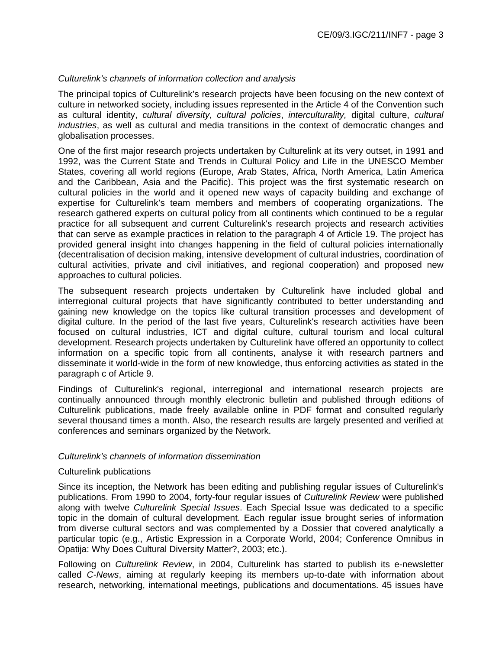### *Culturelink's channels of information collection and analysis*

The principal topics of Culturelink's research projects have been focusing on the new context of culture in networked society, including issues represented in the Article 4 of the Convention such as cultural identity, *cultural diversity*, *cultural policies*, *interculturality,* digital culture, *cultural industries*, as well as cultural and media transitions in the context of democratic changes and globalisation processes.

One of the first major research projects undertaken by Culturelink at its very outset, in 1991 and 1992, was the Current State and Trends in Cultural Policy and Life in the UNESCO Member States, covering all world regions (Europe, Arab States, Africa, North America, Latin America and the Caribbean, Asia and the Pacific). This project was the first systematic research on cultural policies in the world and it opened new ways of capacity building and exchange of expertise for Culturelink's team members and members of cooperating organizations. The research gathered experts on cultural policy from all continents which continued to be a regular practice for all subsequent and current Culturelink's research projects and research activities that can serve as example practices in relation to the paragraph 4 of Article 19. The project has provided general insight into changes happening in the field of cultural policies internationally (decentralisation of decision making, intensive development of cultural industries, coordination of cultural activities, private and civil initiatives, and regional cooperation) and proposed new approaches to cultural policies.

The subsequent research projects undertaken by Culturelink have included global and interregional cultural projects that have significantly contributed to better understanding and gaining new knowledge on the topics like cultural transition processes and development of digital culture. In the period of the last five years, Culturelink's research activities have been focused on cultural industries, ICT and digital culture, cultural tourism and local cultural development. Research projects undertaken by Culturelink have offered an opportunity to collect information on a specific topic from all continents, analyse it with research partners and disseminate it world-wide in the form of new knowledge, thus enforcing activities as stated in the paragraph c of Article 9.

Findings of Culturelink's regional, interregional and international research projects are continually announced through monthly electronic bulletin and published through editions of Culturelink publications, made freely available online in PDF format and consulted regularly several thousand times a month. Also, the research results are largely presented and verified at conferences and seminars organized by the Network.

### *Culturelink's channels of information dissemination*

#### Culturelink publications

Since its inception, the Network has been editing and publishing regular issues of Culturelink's publications. From 1990 to 2004, forty-four regular issues of *Culturelink Review* were published along with twelve *Culturelink Special Issues*. Each Special Issue was dedicated to a specific topic in the domain of cultural development. Each regular issue brought series of information from diverse cultural sectors and was complemented by a Dossier that covered analytically a particular topic (e.g., Artistic Expression in a Corporate World, 2004; Conference Omnibus in Opatija: Why Does Cultural Diversity Matter?, 2003; etc.).

Following on *Culturelink Review*, in 2004, Culturelink has started to publish its e-newsletter called *C-News*, aiming at regularly keeping its members up-to-date with information about research, networking, international meetings, publications and documentations. 45 issues have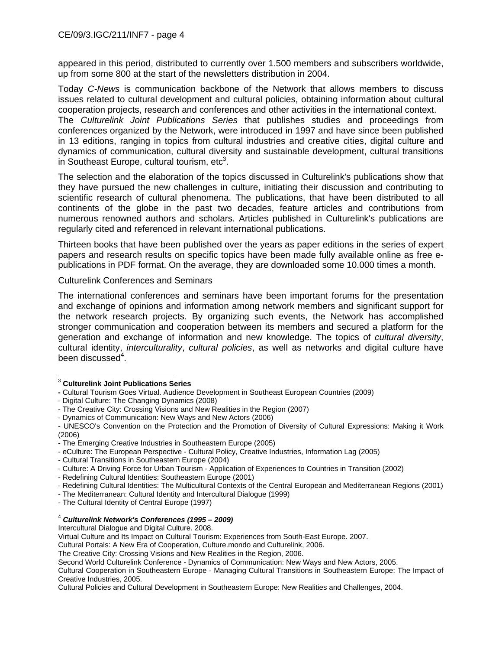appeared in this period, distributed to currently over 1.500 members and subscribers worldwide, up from some 800 at the start of the newsletters distribution in 2004.

Today *C-News* is communication backbone of the Network that allows members to discuss issues related to cultural development and cultural policies, obtaining information about cultural cooperation projects, research and conferences and other activities in the international context.

The *Culturelink Joint Publications Series* that publishes studies and proceedings from conferences organized by the Network, were introduced in 1997 and have since been published in 13 editions, ranging in topics from cultural industries and creative cities, digital culture and dynamics of communication, cultural diversity and sustainable development, cultural transitions in Southeast Europe, cultural tourism, etc $3$ .

The selection and the elaboration of the topics discussed in Culturelink's publications show that they have pursued the new challenges in culture, initiating their discussion and contributing to scientific research of cultural phenomena. The publications, that have been distributed to all continents of the globe in the past two decades, feature articles and contributions from numerous renowned authors and scholars. Articles published in Culturelink's publications are regularly cited and referenced in relevant international publications.

Thirteen books that have been published over the years as paper editions in the series of expert papers and research results on specific topics have been made fully available online as free epublications in PDF format. On the average, they are downloaded some 10.000 times a month.

Culturelink Conferences and Seminars

The international conferences and seminars have been important forums for the presentation and exchange of opinions and information among network members and significant support for the network research projects. By organizing such events, the Network has accomplished stronger communication and cooperation between its members and secured a platform for the generation and exchange of information and new knowledge. The topics of *cultural diversity*, cultural identity, *interculturality*, *cultural policies*, as well as networks and digital culture have been discussed<sup>4</sup>.

- Dynamics of Communication: New Ways and New Actors (2006)

- The Mediterranean: Cultural Identity and Intercultural Dialogue (1999)

#### <sup>4</sup> *Culturelink Network's Conferences (1995 – 2009)*

Intercultural Dialogue and Digital Culture. 2008.

Virtual Culture and Its Impact on Cultural Tourism: Experiences from South-East Europe. 2007.

Cultural Portals: A New Era of Cooperation, Culture.mondo and Culturelink, 2006.

The Creative City: Crossing Visions and New Realities in the Region, 2006.

Second World Culturelink Conference - Dynamics of Communication: New Ways and New Actors, 2005.

Cultural Cooperation in Southeastern Europe - Managing Cultural Transitions in Southeastern Europe: The Impact of Creative Industries, 2005.

Cultural Policies and Cultural Development in Southeastern Europe: New Realities and Challenges, 2004.

 $\overline{a}$ <sup>3</sup> **Culturelink Joint Publications Series** 

**<sup>-</sup>** Cultural Tourism Goes Virtual. Audience Development in Southeast European Countries (2009)

<sup>-</sup> Digital Culture: The Changing Dynamics (2008)

<sup>-</sup> The Creative City: Crossing Visions and New Realities in the Region (2007)

<sup>-</sup> UNESCO's Convention on the Protection and the Promotion of Diversity of Cultural Expressions: Making it Work (2006)

<sup>-</sup> The Emerging Creative Industries in Southeastern Europe (2005)

<sup>-</sup> eCulture: The European Perspective - Cultural Policy, Creative Industries, Information Lag (2005)

<sup>-</sup> Cultural Transitions in Southeastern Europe (2004)

<sup>-</sup> Culture: A Driving Force for Urban Tourism - Application of Experiences to Countries in Transition (2002)

<sup>-</sup> Redefining Cultural Identities: Southeastern Europe (2001)

<sup>-</sup> Redefining Cultural Identities: The Multicultural Contexts of the Central European and Mediterranean Regions (2001)

<sup>-</sup> The Cultural Identity of Central Europe (1997)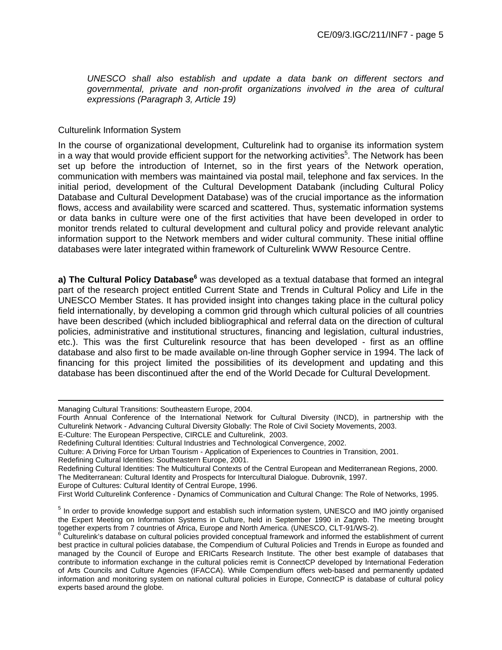*UNESCO shall also establish and update a data bank on different sectors and governmental, private and non-profit organizations involved in the area of cultural expressions (Paragraph 3, Article 19)* 

#### Culturelink Information System

In the course of organizational development, Culturelink had to organise its information system in a way that would provide efficient support for the networking activities<sup>5</sup>. The Network has been set up before the introduction of Internet, so in the first years of the Network operation, communication with members was maintained via postal mail, telephone and fax services. In the initial period, development of the Cultural Development Databank (including Cultural Policy Database and Cultural Development Database) was of the crucial importance as the information flows, access and availability were scarced and scattered. Thus, systematic information systems or data banks in culture were one of the first activities that have been developed in order to monitor trends related to cultural development and cultural policy and provide relevant analytic information support to the Network members and wider cultural community. These initial offline databases were later integrated within framework of Culturelink WWW Resource Centre.

a) The Cultural Policy Database<sup>6</sup> was developed as a textual database that formed an integral part of the research project entitled Current State and Trends in Cultural Policy and Life in the UNESCO Member States. It has provided insight into changes taking place in the cultural policy field internationally, by developing a common grid through which cultural policies of all countries have been described (which included bibliographical and referral data on the direction of cultural policies, administrative and institutional structures, financing and legislation, cultural industries, etc.). This was the first Culturelink resource that has been developed - first as an offline database and also first to be made available on-line through Gopher service in 1994. The lack of financing for this project limited the possibilities of its development and updating and this database has been discontinued after the end of the World Decade for Cultural Development.

 $\overline{a}$ 

Redefining Cultural Identities: Southeastern Europe, 2001.

The Mediterranean: Cultural Identity and Prospects for Intercultural Dialogue. Dubrovnik, 1997.

Europe of Cultures: Cultural Identity of Central Europe, 1996.

Managing Cultural Transitions: Southeastern Europe, 2004.

Fourth Annual Conference of the International Network for Cultural Diversity (INCD), in partnership with the Culturelink Network - Advancing Cultural Diversity Globally: The Role of Civil Society Movements, 2003.

E-Culture: The European Perspective, CIRCLE and Culturelink, 2003.

Redefining Cultural Identities: Cultural Industries and Technological Convergence, 2002.

Culture: A Driving Force for Urban Tourism - Application of Experiences to Countries in Transition, 2001.

Redefining Cultural Identities: The Multicultural Contexts of the Central European and Mediterranean Regions, 2000.

First World Culturelink Conference - Dynamics of Communication and Cultural Change: The Role of Networks, 1995.

<sup>&</sup>lt;sup>5</sup> In order to provide knowledge support and establish such information system, UNESCO and IMO jointly organised the Expert Meeting on Information Systems in Culture, held in September 1990 in Zagreb. The meeting brought together experts from 7 countries of Africa, Europe and North America. (UNESCO, CLT-91/WS-2).

 $6$  Culturelink's database on cultural policies provided conceptual framework and informed the establishment of current best practice in cultural policies database, the Compendium of Cultural Policies and Trends in Europe as founded and managed by the Council of Europe and ERICarts Research Institute. The other best example of databases that contribute to information exchange in the cultural policies remit is ConnectCP developed by International Federation of Arts Councils and Culture Agencies (IFACCA). While Compendium offers web-based and permanently updated information and monitoring system on national cultural policies in Europe, ConnectCP is database of cultural policy experts based around the globe.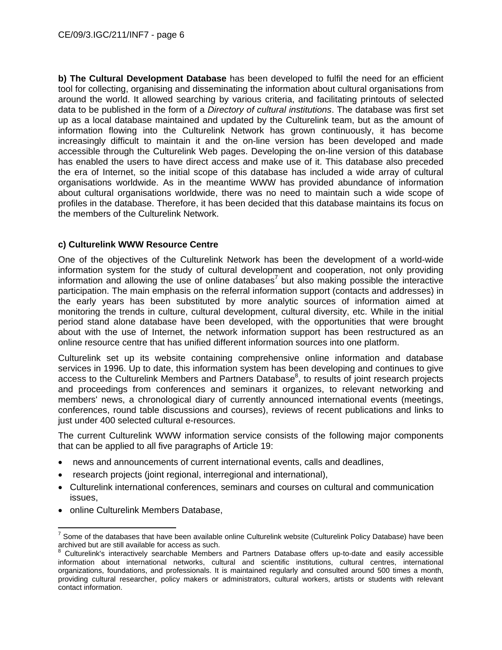**b) The Cultural Development Database** has been developed to fulfil the need for an efficient tool for collecting, organising and disseminating the information about cultural organisations from around the world. It allowed searching by various criteria, and facilitating printouts of selected data to be published in the form of a *Directory of cultural institutions*. The database was first set up as a local database maintained and updated by the Culturelink team, but as the amount of information flowing into the Culturelink Network has grown continuously, it has become increasingly difficult to maintain it and the on-line version has been developed and made accessible through the Culturelink Web pages. Developing the on-line version of this database has enabled the users to have direct access and make use of it. This database also preceded the era of Internet, so the initial scope of this database has included a wide array of cultural organisations worldwide. As in the meantime WWW has provided abundance of information about cultural organisations worldwide, there was no need to maintain such a wide scope of profiles in the database. Therefore, it has been decided that this database maintains its focus on the members of the Culturelink Network.

# **c) Culturelink WWW Resource Centre**

One of the objectives of the Culturelink Network has been the development of a world-wide information system for the study of cultural development and cooperation, not only providing information and allowing the use of online databases<sup>7</sup> but also making possible the interactive participation. The main emphasis on the referral information support (contacts and addresses) in the early years has been substituted by more analytic sources of information aimed at monitoring the trends in culture, cultural development, cultural diversity, etc. While in the initial period stand alone database have been developed, with the opportunities that were brought about with the use of Internet, the network information support has been restructured as an online resource centre that has unified different information sources into one platform.

Culturelink set up its website containing comprehensive online information and database services in 1996. Up to date, this information system has been developing and continues to give access to the Culturelink Members and Partners Database<sup>8</sup>, to results of joint research projects and proceedings from conferences and seminars it organizes, to relevant networking and members' news, a chronological diary of currently announced international events (meetings, conferences, round table discussions and courses), reviews of recent publications and links to just under 400 selected cultural e-resources.

The current Culturelink WWW information service consists of the following major components that can be applied to all five paragraphs of Article 19:

- news and announcements of current international events, calls and deadlines,
- research projects (joint regional, interregional and international),
- Culturelink international conferences, seminars and courses on cultural and communication issues,
- online Culturelink Members Database,

 $\overline{a}$ 7 Some of the databases that have been available online Culturelink website (Culturelink Policy Database) have been archived but are still available for access as such.

<sup>8</sup> Culturelink's interactively searchable Members and Partners Database offers up-to-date and easily accessible information about international networks, cultural and scientific institutions, cultural centres, international organizations, foundations, and professionals. It is maintained regularly and consulted around 500 times a month, providing cultural researcher, policy makers or administrators, cultural workers, artists or students with relevant contact information.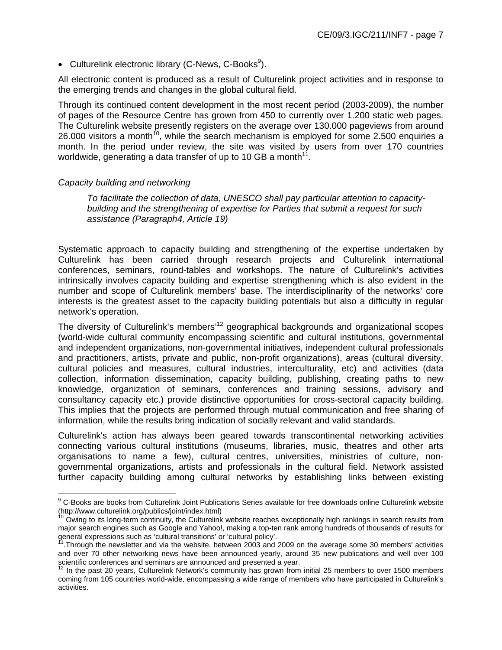• Culturelink electronic library (C-News, C-Books<sup>9</sup>).

All electronic content is produced as a result of Culturelink project activities and in response to the emerging trends and changes in the global cultural field.

Through its continued content development in the most recent period (2003-2009), the number of pages of the Resource Centre has grown from 450 to currently over 1.200 static web pages. The Culturelink website presently registers on the average over 130.000 pageviews from around 26.000 visitors a month<sup>10</sup>, while the search mechanism is employed for some 2.500 enquiries a month. In the period under review, the site was visited by users from over 170 countries worldwide, generating a data transfer of up to 10 GB a month<sup>11</sup>.

### *Capacity building and networking*

 $\overline{a}$ 

*To facilitate the collection of data, UNESCO shall pay particular attention to capacitybuilding and the strengthening of expertise for Parties that submit a request for such assistance (Paragraph4, Article 19)* 

Systematic approach to capacity building and strengthening of the expertise undertaken by Culturelink has been carried through research projects and Culturelink international conferences, seminars, round-tables and workshops. The nature of Culturelink's activities intrinsically involves capacity building and expertise strengthening which is also evident in the number and scope of Culturelink members' base. The interdisciplinarity of the networks' core interests is the greatest asset to the capacity building potentials but also a difficulty in regular network's operation.

The diversity of Culturelink's members<sup>12</sup> geographical backgrounds and organizational scopes (world-wide cultural community encompassing scientific and cultural institutions, governmental and independent organizations, non-governmental initiatives, independent cultural professionals and practitioners, artists, private and public, non-profit organizations), areas (cultural diversity, cultural policies and measures, cultural industries, interculturality, etc) and activities (data collection, information dissemination, capacity building, publishing, creating paths to new knowledge, organization of seminars, conferences and training sessions, advisory and consultancy capacity etc.) provide distinctive opportunities for cross-sectoral capacity building. This implies that the projects are performed through mutual communication and free sharing of information, while the results bring indication of socially relevant and valid standards.

Culturelink's action has always been geared towards transcontinental networking activities connecting various cultural institutions (museums, libraries, music, theatres and other arts organisations to name a few), cultural centres, universities, ministries of culture, nongovernmental organizations, artists and professionals in the cultural field. Network assisted further capacity building among cultural networks by establishing links between existing

<sup>&</sup>lt;sup>9</sup> C-Books are books from Culturelink Joint Publications Series available for free downloads online Culturelink website (http://www.culturelink.org/publics/joint/index.html)<br><sup>10</sup> Owing to its long-term continuity, the Culturelink website reaches exceptionally high rankings in search results from

major search engines such as Google and Yahoo!, making a top-ten rank among hundreds of thousands of results for general expressions such as 'cultural transitions' or 'cultural policy'.

 $^{71}$ .Through the newsletter and via the website, between 2003 and 2009 on the average some 30 members' activities and over 70 other networking news have been announced yearly, around 35 new publications and well over 100 scientific conferences and seminars are announced and presented a year.<br><sup>12</sup> In the past 20 years, Culturelink Network's community has grown from initial 25 members to over 1500 members

coming from 105 countries world-wide, encompassing a wide range of members who have participated in Culturelink's activities.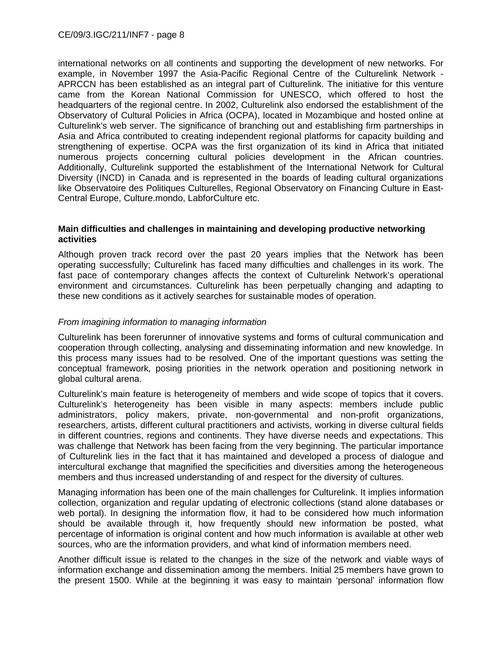international networks on all continents and supporting the development of new networks. For example, in November 1997 the Asia-Pacific Regional Centre of the Culturelink Network - APRCCN has been established as an integral part of Culturelink. The initiative for this venture came from the Korean National Commission for UNESCO, which offered to host the headquarters of the regional centre. In 2002, Culturelink also endorsed the establishment of the Observatory of Cultural Policies in Africa (OCPA), located in Mozambique and hosted online at Culturelink's web server. The significance of branching out and establishing firm partnerships in Asia and Africa contributed to creating independent regional platforms for capacity building and strengthening of expertise. OCPA was the first organization of its kind in Africa that initiated numerous projects concerning cultural policies development in the African countries. Additionally, Culturelink supported the establishment of the International Network for Cultural Diversity (INCD) in Canada and is represented in the boards of leading cultural organizations like Observatoire des Politiques Culturelles, Regional Observatory on Financing Culture in East-Central Europe, Culture.mondo, LabforCulture etc.

#### **Main difficulties and challenges in maintaining and developing productive networking activities**

Although proven track record over the past 20 years implies that the Network has been operating successfully; Culturelink has faced many difficulties and challenges in its work. The fast pace of contemporary changes affects the context of Culturelink Network's operational environment and circumstances. Culturelink has been perpetually changing and adapting to these new conditions as it actively searches for sustainable modes of operation.

#### *From imagining information to managing information*

Culturelink has been forerunner of innovative systems and forms of cultural communication and cooperation through collecting, analysing and disseminating information and new knowledge. In this process many issues had to be resolved. One of the important questions was setting the conceptual framework, posing priorities in the network operation and positioning network in global cultural arena.

Culturelink's main feature is heterogeneity of members and wide scope of topics that it covers. Culturelink's heterogeneity has been visible in many aspects: members include public administrators, policy makers, private, non-governmental and non-profit organizations, researchers, artists, different cultural practitioners and activists, working in diverse cultural fields in different countries, regions and continents. They have diverse needs and expectations. This was challenge that Network has been facing from the very beginning. The particular importance of Culturelink lies in the fact that it has maintained and developed a process of dialogue and intercultural exchange that magnified the specificities and diversities among the heterogeneous members and thus increased understanding of and respect for the diversity of cultures.

Managing information has been one of the main challenges for Culturelink. It implies information collection, organization and regular updating of electronic collections (stand alone databases or web portal). In designing the information flow, it had to be considered how much information should be available through it, how frequently should new information be posted, what percentage of information is original content and how much information is available at other web sources, who are the information providers, and what kind of information members need.

Another difficult issue is related to the changes in the size of the network and viable ways of information exchange and dissemination among the members. Initial 25 members have grown to the present 1500. While at the beginning it was easy to maintain 'personal' information flow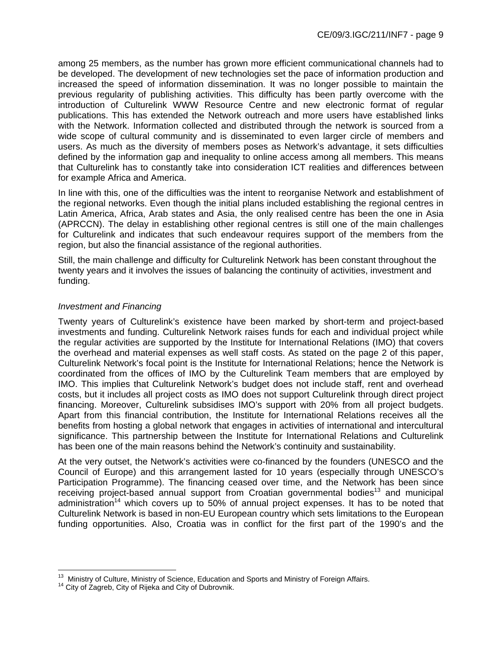among 25 members, as the number has grown more efficient communicational channels had to be developed. The development of new technologies set the pace of information production and increased the speed of information dissemination. It was no longer possible to maintain the previous regularity of publishing activities. This difficulty has been partly overcome with the introduction of Culturelink WWW Resource Centre and new electronic format of regular publications. This has extended the Network outreach and more users have established links with the Network. Information collected and distributed through the network is sourced from a wide scope of cultural community and is disseminated to even larger circle of members and users. As much as the diversity of members poses as Network's advantage, it sets difficulties defined by the information gap and inequality to online access among all members. This means that Culturelink has to constantly take into consideration ICT realities and differences between for example Africa and America.

In line with this, one of the difficulties was the intent to reorganise Network and establishment of the regional networks. Even though the initial plans included establishing the regional centres in Latin America, Africa, Arab states and Asia, the only realised centre has been the one in Asia (APRCCN). The delay in establishing other regional centres is still one of the main challenges for Culturelink and indicates that such endeavour requires support of the members from the region, but also the financial assistance of the regional authorities.

Still, the main challenge and difficulty for Culturelink Network has been constant throughout the twenty years and it involves the issues of balancing the continuity of activities, investment and funding.

# *Investment and Financing*

Twenty years of Culturelink's existence have been marked by short-term and project-based investments and funding. Culturelink Network raises funds for each and individual project while the regular activities are supported by the Institute for International Relations (IMO) that covers the overhead and material expenses as well staff costs. As stated on the page 2 of this paper, Culturelink Network's focal point is the Institute for International Relations; hence the Network is coordinated from the offices of IMO by the Culturelink Team members that are employed by IMO. This implies that Culturelink Network's budget does not include staff, rent and overhead costs, but it includes all project costs as IMO does not support Culturelink through direct project financing. Moreover, Culturelink subsidises IMO's support with 20% from all project budgets. Apart from this financial contribution, the Institute for International Relations receives all the benefits from hosting a global network that engages in activities of international and intercultural significance. This partnership between the Institute for International Relations and Culturelink has been one of the main reasons behind the Network's continuity and sustainability.

At the very outset, the Network's activities were co-financed by the founders (UNESCO and the Council of Europe) and this arrangement lasted for 10 years (especially through UNESCO's Participation Programme). The financing ceased over time, and the Network has been since receiving project-based annual support from Croatian governmental bodies<sup>13</sup> and municipal administration<sup>14</sup> which covers up to 50% of annual project expenses. It has to be noted that Culturelink Network is based in non-EU European country which sets limitations to the European funding opportunities. Also, Croatia was in conflict for the first part of the 1990's and the

 $\overline{a}$ <sup>13</sup> Ministry of Culture, Ministry of Science, Education and Sports and Ministry of Foreign Affairs.<br><sup>14</sup> City of Zagreb, City of Rijeka and City of Dubrovnik.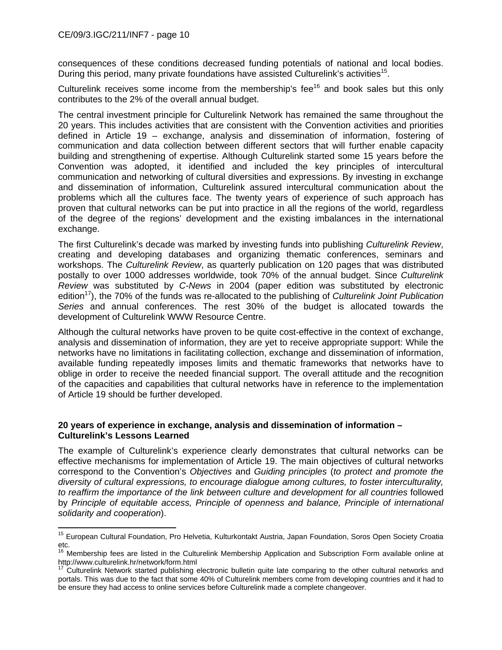$\overline{a}$ 

consequences of these conditions decreased funding potentials of national and local bodies. During this period, many private foundations have assisted Culturelink's activities<sup>15</sup>.

Culturelink receives some income from the membership's fee<sup>16</sup> and book sales but this only contributes to the 2% of the overall annual budget.

The central investment principle for Culturelink Network has remained the same throughout the 20 years. This includes activities that are consistent with the Convention activities and priorities defined in Article 19 – exchange, analysis and dissemination of information, fostering of communication and data collection between different sectors that will further enable capacity building and strengthening of expertise. Although Culturelink started some 15 years before the Convention was adopted, it identified and included the key principles of intercultural communication and networking of cultural diversities and expressions. By investing in exchange and dissemination of information, Culturelink assured intercultural communication about the problems which all the cultures face. The twenty years of experience of such approach has proven that cultural networks can be put into practice in all the regions of the world, regardless of the degree of the regions' development and the existing imbalances in the international exchange.

The first Culturelink's decade was marked by investing funds into publishing *Culturelink Review*, creating and developing databases and organizing thematic conferences, seminars and workshops. The *Culturelink Review*, as quarterly publication on 120 pages that was distributed postally to over 1000 addresses worldwide, took 70% of the annual budget. Since *Culturelink Review* was substituted by *C-News* in 2004 (paper edition was substituted by electronic edition17), the 70% of the funds was re-allocated to the publishing of *Culturelink Joint Publication Series* and annual conferences. The rest 30% of the budget is allocated towards the development of Culturelink WWW Resource Centre.

Although the cultural networks have proven to be quite cost-effective in the context of exchange, analysis and dissemination of information, they are yet to receive appropriate support: While the networks have no limitations in facilitating collection, exchange and dissemination of information, available funding repeatedly imposes limits and thematic frameworks that networks have to oblige in order to receive the needed financial support. The overall attitude and the recognition of the capacities and capabilities that cultural networks have in reference to the implementation of Article 19 should be further developed.

### **20 years of experience in exchange, analysis and dissemination of information – Culturelink's Lessons Learned**

The example of Culturelink's experience clearly demonstrates that cultural networks can be effective mechanisms for implementation of Article 19. The main objectives of cultural networks correspond to the Convention's *Objectives* and *Guiding principles* (*to protect and promote the diversity of cultural expressions, to encourage dialogue among cultures, to foster interculturality, to reaffirm the importance of the link between culture and development for all countries* followed by *Principle of equitable access, Principle of openness and balance, Principle of international solidarity and cooperation*).

<sup>&</sup>lt;sup>15</sup> European Cultural Foundation, Pro Helvetia, Kulturkontakt Austria, Japan Foundation, Soros Open Society Croatia etc.

<sup>&</sup>lt;sup>16</sup> Membership fees are listed in the Culturelink Membership Application and Subscription Form available online at http://www.culturelink.hr/network/form.html

<sup>17</sup> Culturelink Network started publishing electronic bulletin quite late comparing to the other cultural networks and portals. This was due to the fact that some 40% of Culturelink members come from developing countries and it had to be ensure they had access to online services before Culturelink made a complete changeover.